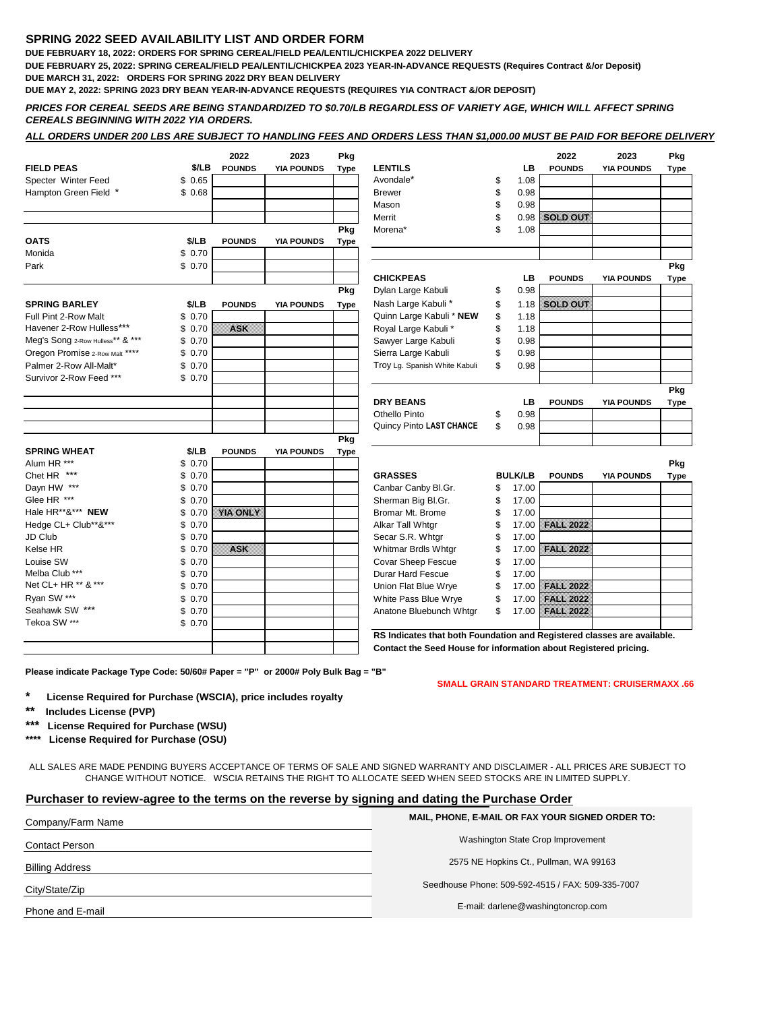## **SPRING 2022 SEED AVAILABILITY LIST AND ORDER FORM**

**DUE FEBRUARY 18, 2022: ORDERS FOR SPRING CEREAL/FIELD PEA/LENTIL/CHICKPEA 2022 DELIVERY**

**DUE FEBRUARY 25, 2022: SPRING CEREAL/FIELD PEA/LENTIL/CHICKPEA 2023 YEAR-IN-ADVANCE REQUESTS (Requires Contract &/or Deposit) DUE MARCH 31, 2022: ORDERS FOR SPRING 2022 DRY BEAN DELIVERY**

**DUE MAY 2, 2022: SPRING 2023 DRY BEAN YEAR-IN-ADVANCE REQUESTS (REQUIRES YIA CONTRACT &/OR DEPOSIT)**

*PRICES FOR CEREAL SEEDS ARE BEING STANDARDIZED TO \$0.70/LB REGARDLESS OF VARIETY AGE, WHICH WILL AFFECT SPRING CEREALS BEGINNING WITH 2022 YIA ORDERS.*

|                                  |        | 2022            | 2023              | Pkg         |                               |                | 2022             | 2023              | Pkg         |
|----------------------------------|--------|-----------------|-------------------|-------------|-------------------------------|----------------|------------------|-------------------|-------------|
| <b>FIELD PEAS</b>                | \$/LB  | <b>POUNDS</b>   | <b>YIA POUNDS</b> | <b>Type</b> | <b>LENTILS</b>                | LB             | <b>POUNDS</b>    | <b>YIA POUNDS</b> | <b>Type</b> |
| Specter Winter Feed              | \$0.65 |                 |                   |             | Avondale*                     | \$<br>1.08     |                  |                   |             |
| Hampton Green Field *            | \$0.68 |                 |                   |             | <b>Brewer</b>                 | \$<br>0.98     |                  |                   |             |
|                                  |        |                 |                   |             | Mason                         | \$<br>0.98     |                  |                   |             |
|                                  |        |                 |                   |             | Merrit                        | \$<br>0.98     | <b>SOLD OUT</b>  |                   |             |
|                                  |        |                 |                   | Pkg         | Morena*                       | \$<br>1.08     |                  |                   |             |
| <b>OATS</b>                      | \$/LB  | <b>POUNDS</b>   | <b>YIA POUNDS</b> | Type        |                               |                |                  |                   |             |
| Monida                           | \$0.70 |                 |                   |             |                               |                |                  |                   |             |
| Park                             | \$0.70 |                 |                   |             |                               |                |                  |                   | Pkg         |
|                                  |        |                 |                   |             | <b>CHICKPEAS</b>              | LВ             | <b>POUNDS</b>    | <b>YIA POUNDS</b> | <b>Type</b> |
|                                  |        |                 |                   | Pkg         | Dylan Large Kabuli            | \$<br>0.98     |                  |                   |             |
| <b>SPRING BARLEY</b>             | \$/LB  | <b>POUNDS</b>   | <b>YIA POUNDS</b> | Type        | Nash Large Kabuli*            | \$<br>1.18     | <b>SOLD OUT</b>  |                   |             |
| Full Pint 2-Row Malt             | \$0.70 |                 |                   |             | Quinn Large Kabuli * NEW      | \$<br>1.18     |                  |                   |             |
| Havener 2-Row Hulless***         | \$0.70 | ASK.            |                   |             | Royal Large Kabuli*           | \$<br>1.18     |                  |                   |             |
| Meg's Song 2-Row Hulless** & *** | \$0.70 |                 |                   |             | Sawyer Large Kabuli           | \$<br>0.98     |                  |                   |             |
| Oregon Promise 2-Row Malt ****   | \$0.70 |                 |                   |             | Sierra Large Kabuli           | \$<br>0.98     |                  |                   |             |
| Palmer 2-Row All-Malt*           | \$0.70 |                 |                   |             | Troy Lg. Spanish White Kabuli | \$<br>0.98     |                  |                   |             |
| Survivor 2-Row Feed ***          | \$0.70 |                 |                   |             |                               |                |                  |                   |             |
|                                  |        |                 |                   |             |                               |                |                  |                   | Pkg         |
|                                  |        |                 |                   |             | <b>DRY BEANS</b>              | LB             | <b>POUNDS</b>    | <b>YIA POUNDS</b> | Type        |
|                                  |        |                 |                   |             | Othello Pinto                 | \$<br>0.98     |                  |                   |             |
|                                  |        |                 |                   |             | Quincy Pinto LAST CHANCE      | \$<br>0.98     |                  |                   |             |
|                                  |        |                 |                   | Pkg         |                               |                |                  |                   |             |
| <b>SPRING WHEAT</b>              | \$/LB  | <b>POUNDS</b>   | <b>YIA POUNDS</b> | Type        |                               |                |                  |                   |             |
| Alum HR ***                      | \$0.70 |                 |                   |             |                               |                |                  |                   | Pkg         |
| Chet HR ***                      | \$0.70 |                 |                   |             | <b>GRASSES</b>                | <b>BULK/LB</b> | <b>POUNDS</b>    | <b>YIA POUNDS</b> | <b>Type</b> |
| Dayn HW ***                      | \$0.70 |                 |                   |             | Canbar Canby Bl.Gr.           | \$<br>17.00    |                  |                   |             |
| Glee HR ***                      | \$0.70 |                 |                   |             | Sherman Big Bl.Gr.            | \$<br>17.00    |                  |                   |             |
| Hale HR**&*** NEW                | \$0.70 | <b>YIA ONLY</b> |                   |             | Bromar Mt. Brome              | \$<br>17.00    |                  |                   |             |
| Hedge CL+ Club**&***             | \$0.70 |                 |                   |             | Alkar Tall Whtgr              | \$<br>17.00    | FACUDS92         |                   |             |
| JD Club                          | \$0.70 |                 |                   |             | Secar S.R. Whtgr              | \$<br>17.00    |                  |                   |             |
| Kelse HR                         | \$0.70 | ASK.            |                   |             | Whitmar Brdls Whtgr           | \$<br>17.00    | FALL 2022        |                   |             |
| Louise SW                        | \$0.70 |                 |                   |             | Covar Sheep Fescue            | \$<br>17.00    |                  |                   |             |
| Melba Club ***                   | \$0.70 |                 |                   |             | <b>Durar Hard Fescue</b>      | \$<br>17.00    |                  |                   |             |
| Net CL+ HR ** & ***              | \$0.70 |                 |                   |             | Union Flat Blue Wrye          | \$<br>17.00    | <b>FALL</b> 2022 |                   |             |
| Ryan SW ***                      | \$0.70 |                 |                   |             | White Pass Blue Wrye          | \$<br>17.00    | <b>FALL 2022</b> |                   |             |
| Seahawk SW ***                   | \$0.70 |                 |                   |             | Anatone Bluebunch Whtgr       | \$<br>17.00    | FALL 2022        |                   |             |
| Tekoa SW ***                     | \$0.70 |                 |                   |             |                               |                |                  |                   |             |

**Please indicate Package Type Code: 50/60# Paper = "P" or 2000# Poly Bulk Bag = "B"**

**SMALL GRAIN STANDARD TREATMENT: CRUISERMAXX .66**

- **\* License Required for Purchase (WSCIA), price includes royalty**
- **\*\* Includes License (PVP)**
- **\*\*\* License Required for Purchase (WSU)**
- **\*\*\*\* License Required for Purchase (OSU)**

ALL SALES ARE MADE PENDING BUYERS ACCEPTANCE OF TERMS OF SALE AND SIGNED WARRANTY AND DISCLAIMER - ALL PRICES ARE SUBJECT TO CHANGE WITHOUT NOTICE. WSCIA RETAINS THE RIGHT TO ALLOCATE SEED WHEN SEED STOCKS ARE IN LIMITED SUPPLY.

## **Purchaser to review-agree to the terms on the reverse by signing and dating the Purchase Order**

| Company/Farm Name      | MAIL, PHONE, E-MAIL OR FAX YOUR SIGNED ORDER TO:  |  |  |  |  |
|------------------------|---------------------------------------------------|--|--|--|--|
| <b>Contact Person</b>  | Washington State Crop Improvement                 |  |  |  |  |
| <b>Billing Address</b> | 2575 NE Hopkins Ct., Pullman, WA 99163            |  |  |  |  |
| City/State/Zip         | Seedhouse Phone: 509-592-4515 / FAX: 509-335-7007 |  |  |  |  |
| Phone and E-mail       | E-mail: darlene@washingtoncrop.com                |  |  |  |  |